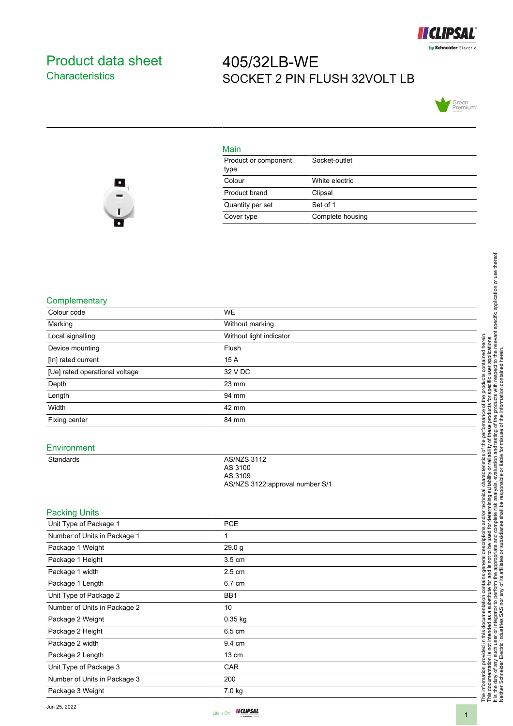

### <span id="page-0-0"></span>Product data sheet **Characteristics**

## 405/32LB-WE SOCKET 2 PIN FLUSH 32VOLT LB



# $\bullet$

| Main                         |                  |
|------------------------------|------------------|
| Product or component<br>type | Socket-outlet    |
| Colour                       | White electric   |
| Product brand                | Clipsal          |
| Quantity per set             | Set of 1         |
| Cover type                   | Complete housing |

#### **Complementary**

| Colour code                    | WE                                                                          |
|--------------------------------|-----------------------------------------------------------------------------|
| Marking                        | Without marking                                                             |
| Local signalling               | Without light indicator                                                     |
| Device mounting                | Flush                                                                       |
| [In] rated current             | 15 A                                                                        |
| [Ue] rated operational voltage | 32 V DC                                                                     |
| Depth                          | 23 mm                                                                       |
| Length                         | 94 mm                                                                       |
| Width                          | 42 mm                                                                       |
| Fixing center                  | 84 mm                                                                       |
| Environment                    |                                                                             |
| <b>Standards</b>               | <b>AS/NZS 3112</b><br>AS 3100<br>AS 3109<br>AS/NZS 3122:approval number S/1 |
| <b>Packing Units</b>           |                                                                             |
| Unit Type of Package 1         | <b>PCE</b>                                                                  |
| Number of Units in Package 1   | $\mathbf{1}$                                                                |
| Package 1 Weight               | 29.0 g                                                                      |
| Package 1 Height               | 3.5 cm                                                                      |
| Package 1 width                | 2.5 cm                                                                      |
| Package 1 Length               | 6.7 cm                                                                      |
| Unit Type of Package 2         | BB1                                                                         |
| Number of Units in Package 2   | 10                                                                          |
| Package 2 Weight               | 0.35 kg                                                                     |
| Package 2 Height               | 6.5 cm                                                                      |
| Package 2 width                | 9.4 cm                                                                      |
| Package 2 Length               | 13 cm                                                                       |
| Unit Type of Package 3         | CAR                                                                         |

Number of Units in Package 3 200 Package 3 Weight 7.0 kg